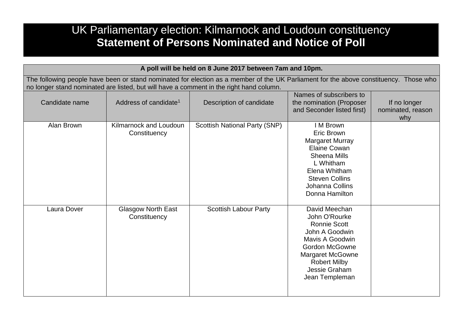## UK Parliamentary election: Kilmarnock and Loudoun constituency **Statement of Persons Nominated and Notice of Poll**

| A poll will be held on 8 June 2017 between 7am and 10pm.                                                                                                                                                                         |                                           |                               |                                                                                                                                                                                                          |                                          |  |
|----------------------------------------------------------------------------------------------------------------------------------------------------------------------------------------------------------------------------------|-------------------------------------------|-------------------------------|----------------------------------------------------------------------------------------------------------------------------------------------------------------------------------------------------------|------------------------------------------|--|
| The following people have been or stand nominated for election as a member of the UK Parliament for the above constituency. Those who<br>no longer stand nominated are listed, but will have a comment in the right hand column. |                                           |                               |                                                                                                                                                                                                          |                                          |  |
| Candidate name                                                                                                                                                                                                                   | Address of candidate <sup>1</sup>         | Description of candidate      | Names of subscribers to<br>the nomination (Proposer<br>and Seconder listed first)                                                                                                                        | If no longer<br>nominated, reason<br>why |  |
| Alan Brown                                                                                                                                                                                                                       | Kilmarnock and Loudoun<br>Constituency    | Scottish National Party (SNP) | I M Brown<br><b>Eric Brown</b><br><b>Margaret Murray</b><br>Elaine Cowan<br><b>Sheena Mills</b><br>L Whitham<br>Elena Whitham<br><b>Steven Collins</b><br>Johanna Collins<br>Donna Hamilton              |                                          |  |
| Laura Dover                                                                                                                                                                                                                      | <b>Glasgow North East</b><br>Constituency | <b>Scottish Labour Party</b>  | David Meechan<br>John O'Rourke<br><b>Ronnie Scott</b><br>John A Goodwin<br>Mavis A Goodwin<br><b>Gordon McGowne</b><br><b>Margaret McGowne</b><br><b>Robert Milby</b><br>Jessie Graham<br>Jean Templeman |                                          |  |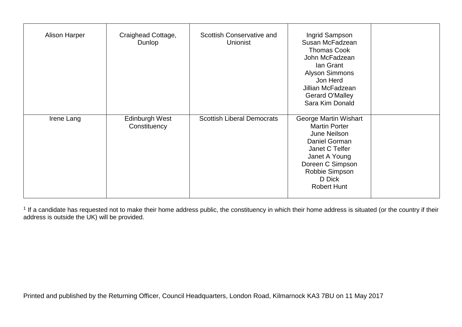| <b>Alison Harper</b> | Craighead Cottage,<br>Dunlop   | Scottish Conservative and<br><b>Unionist</b> | Ingrid Sampson<br>Susan McFadzean<br><b>Thomas Cook</b><br>John McFadzean<br>lan Grant<br><b>Alyson Simmons</b><br>Jon Herd<br>Jillian McFadzean<br>Gerard O'Malley<br>Sara Kim Donald  |  |
|----------------------|--------------------------------|----------------------------------------------|-----------------------------------------------------------------------------------------------------------------------------------------------------------------------------------------|--|
| Irene Lang           | Edinburgh West<br>Constituency | <b>Scottish Liberal Democrats</b>            | George Martin Wishart<br><b>Martin Porter</b><br>June Neilson<br>Daniel Gorman<br>Janet C Telfer<br>Janet A Young<br>Doreen C Simpson<br>Robbie Simpson<br>D Dick<br><b>Robert Hunt</b> |  |

<sup>1</sup> If a candidate has requested not to make their home address public, the constituency in which their home address is situated (or the country if their address is outside the UK) will be provided.

Printed and published by the Returning Officer, Council Headquarters, London Road, Kilmarnock KA3 7BU on 11 May 2017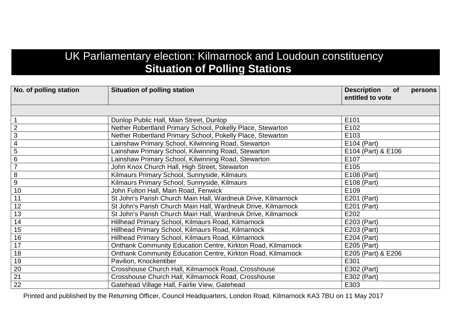## UK Parliamentary election: Kilmarnock and Loudoun constituency **Situation of Polling Stations**

| No. of polling station | <b>Situation of polling station</b>                                 | <b>Description</b><br>persons<br><b>of</b><br>entitled to vote |
|------------------------|---------------------------------------------------------------------|----------------------------------------------------------------|
|                        |                                                                     |                                                                |
| $\overline{1}$         | Dunlop Public Hall, Main Street, Dunlop                             | E101                                                           |
| $\overline{2}$         | Nether Robertland Primary School, Pokelly Place, Stewarton          | E102                                                           |
| $\overline{3}$         | Nether Robertland Primary School, Pokelly Place, Stewarton          | E103                                                           |
| $\overline{4}$         | Lainshaw Primary School, Kilwinning Road, Stewarton                 | E104 (Part)                                                    |
| 5                      | Lainshaw Primary School, Kilwinning Road, Stewarton                 | E104 (Part) & E106                                             |
| $\,6$                  | Lainshaw Primary School, Kilwinning Road, Stewarton                 | E107                                                           |
| $\overline{7}$         | John Knox Church Hall, High Street, Stewarton                       | E105                                                           |
| $\overline{8}$         | Kilmaurs Primary School, Sunnyside, Kilmaurs                        | E108 (Part)                                                    |
| $\overline{9}$         | Kilmaurs Primary School, Sunnyside, Kilmaurs                        | E108 (Part)                                                    |
| 10                     | John Fulton Hall, Main Road, Fenwick                                | E109                                                           |
| 11                     | St John's Parish Church Main Hall, Wardneuk Drive, Kilmarnock       | E201 (Part)                                                    |
| 12                     | St John's Parish Church Main Hall, Wardneuk Drive, Kilmarnock       | E201 (Part)                                                    |
| 13                     | St John's Parish Church Main Hall, Wardneuk Drive, Kilmarnock       | E202                                                           |
| 14                     | Hillhead Primary School, Kilmaurs Road, Kilmarnock                  | E203 (Part)                                                    |
| 15                     | Hillhead Primary School, Kilmaurs Road, Kilmarnock                  | E203 (Part)                                                    |
| 16                     | Hillhead Primary School, Kilmaurs Road, Kilmarnock                  | E204 (Part)                                                    |
| 17                     | <b>Onthank Community Education Centre, Kirkton Road, Kilmarnock</b> | E205 (Part)                                                    |
| 18                     | <b>Onthank Community Education Centre, Kirkton Road, Kilmarnock</b> | E205 (Part) & E206                                             |
| 19                     | Pavilion, Knockentiber                                              | E301                                                           |
| 20                     | Crosshouse Church Hall, Kilmarnock Road, Crosshouse                 | E302 (Part)                                                    |
| 21                     | Crosshouse Church Hall, Kilmarnock Road, Crosshouse                 | E302 (Part)                                                    |
| $\overline{22}$        | Gatehead Village Hall, Fairlie View, Gatehead                       | E303                                                           |

Printed and published by the Returning Officer, Council Headquarters, London Road, Kilmarnock KA3 7BU on 11 May 2017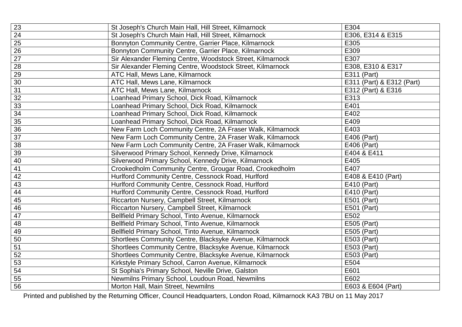| 23 | St Joseph's Church Main Hall, Hill Street, Kilmarnock      | E304                      |
|----|------------------------------------------------------------|---------------------------|
| 24 | St Joseph's Church Main Hall, Hill Street, Kilmarnock      | E306, E314 & E315         |
| 25 | Bonnyton Community Centre, Garrier Place, Kilmarnock       | E305                      |
| 26 | Bonnyton Community Centre, Garrier Place, Kilmarnock       | E309                      |
| 27 | Sir Alexander Fleming Centre, Woodstock Street, Kilmarnock | E307                      |
| 28 | Sir Alexander Fleming Centre, Woodstock Street, Kilmarnock | E308, E310 & E317         |
| 29 | ATC Hall, Mews Lane, Kilmarnock                            | E311 (Part)               |
| 30 | ATC Hall, Mews Lane, Kilmarnock                            | E311 (Part) & E312 (Part) |
| 31 | ATC Hall, Mews Lane, Kilmarnock                            | E312 (Part) & E316        |
| 32 | Loanhead Primary School, Dick Road, Kilmarnock             | E313                      |
| 33 | Loanhead Primary School, Dick Road, Kilmarnock             | E401                      |
| 34 | Loanhead Primary School, Dick Road, Kilmarnock             | E402                      |
| 35 | Loanhead Primary School, Dick Road, Kilmarnock             | E409                      |
| 36 | New Farm Loch Community Centre, 2A Fraser Walk, Kilmarnock | E403                      |
| 37 | New Farm Loch Community Centre, 2A Fraser Walk, Kilmarnock | E406 (Part)               |
| 38 | New Farm Loch Community Centre, 2A Fraser Walk, Kilmarnock | E406 (Part)               |
| 39 | Silverwood Primary School, Kennedy Drive, Kilmarnock       | E404 & E411               |
| 40 | Silverwood Primary School, Kennedy Drive, Kilmarnock       | E405                      |
| 41 | Crookedholm Community Centre, Grougar Road, Crookedholm    | E407                      |
| 42 | Hurlford Community Centre, Cessnock Road, Hurlford         | E408 & E410 (Part)        |
| 43 | Hurlford Community Centre, Cessnock Road, Hurlford         | E410 (Part)               |
| 44 | Hurlford Community Centre, Cessnock Road, Hurlford         | E410 (Part)               |
| 45 | Riccarton Nursery, Campbell Street, Kilmarnock             | E501 (Part)               |
| 46 | Riccarton Nursery, Campbell Street, Kilmarnock             | E501 (Part)               |
| 47 | Bellfield Primary School, Tinto Avenue, Kilmarnock         | E502                      |
| 48 | Bellfield Primary School, Tinto Avenue, Kilmarnock         | E505 (Part)               |
| 49 | Bellfield Primary School, Tinto Avenue, Kilmarnock         | E505 (Part)               |
| 50 | Shortlees Community Centre, Blacksyke Avenue, Kilmarnock   | E503 (Part)               |
| 51 | Shortlees Community Centre, Blacksyke Avenue, Kilmarnock   | E503 (Part)               |
| 52 | Shortlees Community Centre, Blacksyke Avenue, Kilmarnock   | E503 (Part)               |
| 53 | Kirkstyle Primary School, Carron Avenue, Kilmarnock        | E504                      |
| 54 | St Sophia's Primary School, Neville Drive, Galston         | E601                      |
| 55 | Newmilns Primary School, Loudoun Road, Newmilns            | E602                      |
| 56 | Morton Hall, Main Street, Newmilns                         | E603 & E604 (Part)        |

Printed and published by the Returning Officer, Council Headquarters, London Road, Kilmarnock KA3 7BU on 11 May 2017